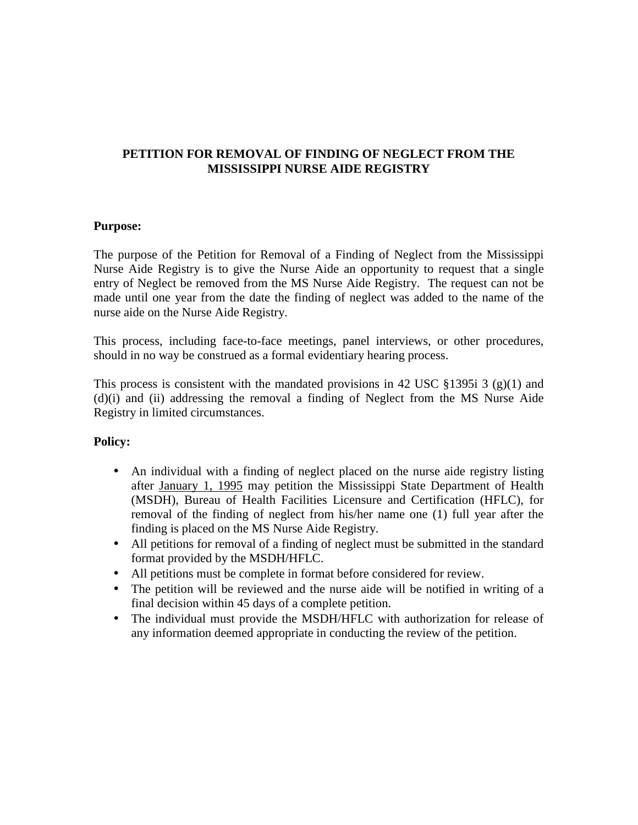#### **PETITION FOR REMOVAL OF FINDING OF NEGLECT FROM THE MISSISSIPPI NURSE AIDE REGISTRY**

#### **Purpose:**

The purpose of the Petition for Removal of a Finding of Neglect from the Mississippi Nurse Aide Registry is to give the Nurse Aide an opportunity to request that a single entry of Neglect be removed from the MS Nurse Aide Registry. The request can not be made until one year from the date the finding of neglect was added to the name of the nurse aide on the Nurse Aide Registry.

This process, including face-to-face meetings, panel interviews, or other procedures, should in no way be construed as a formal evidentiary hearing process.

This process is consistent with the mandated provisions in 42 USC §1395i 3 (g)(1) and (d)(i) and (ii) addressing the removal a finding of Neglect from the MS Nurse Aide Registry in limited circumstances.

#### **Policy:**

- An individual with a finding of neglect placed on the nurse aide registry listing after January 1, 1995 may petition the Mississippi State Department of Health (MSDH), Bureau of Health Facilities Licensure and Certification (HFLC), for removal of the finding of neglect from his/her name one (1) full year after the finding is placed on the MS Nurse Aide Registry.
- All petitions for removal of a finding of neglect must be submitted in the standard format provided by the MSDH/HFLC.
- All petitions must be complete in format before considered for review.
- The petition will be reviewed and the nurse aide will be notified in writing of a final decision within 45 days of a complete petition.
- The individual must provide the MSDH/HFLC with authorization for release of any information deemed appropriate in conducting the review of the petition.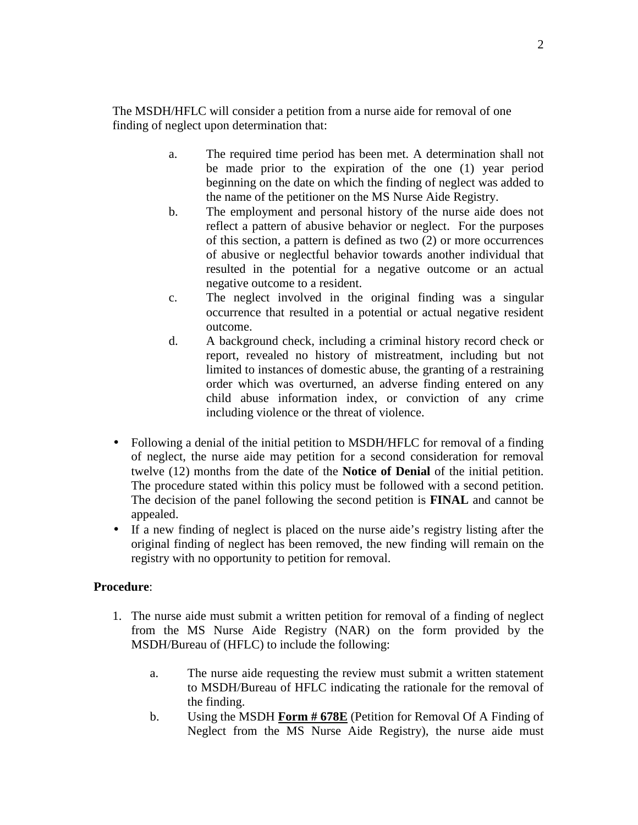The MSDH/HFLC will consider a petition from a nurse aide for removal of one finding of neglect upon determination that:

- a. The required time period has been met. A determination shall not be made prior to the expiration of the one (1) year period beginning on the date on which the finding of neglect was added to the name of the petitioner on the MS Nurse Aide Registry.
- b. The employment and personal history of the nurse aide does not reflect a pattern of abusive behavior or neglect. For the purposes of this section, a pattern is defined as two (2) or more occurrences of abusive or neglectful behavior towards another individual that resulted in the potential for a negative outcome or an actual negative outcome to a resident.
- c. The neglect involved in the original finding was a singular occurrence that resulted in a potential or actual negative resident outcome.
- d. A background check, including a criminal history record check or report, revealed no history of mistreatment, including but not limited to instances of domestic abuse, the granting of a restraining order which was overturned, an adverse finding entered on any child abuse information index, or conviction of any crime including violence or the threat of violence.
- Following a denial of the initial petition to MSDH/HFLC for removal of a finding of neglect, the nurse aide may petition for a second consideration for removal twelve (12) months from the date of the **Notice of Denial** of the initial petition. The procedure stated within this policy must be followed with a second petition. The decision of the panel following the second petition is **FINAL** and cannot be appealed.
- If a new finding of neglect is placed on the nurse aide's registry listing after the original finding of neglect has been removed, the new finding will remain on the registry with no opportunity to petition for removal.

#### **Procedure**:

- 1. The nurse aide must submit a written petition for removal of a finding of neglect from the MS Nurse Aide Registry (NAR) on the form provided by the MSDH/Bureau of (HFLC) to include the following:
	- a. The nurse aide requesting the review must submit a written statement to MSDH/Bureau of HFLC indicating the rationale for the removal of the finding.
	- b. Using the MSDH **Form # 678E** (Petition for Removal Of A Finding of Neglect from the MS Nurse Aide Registry), the nurse aide must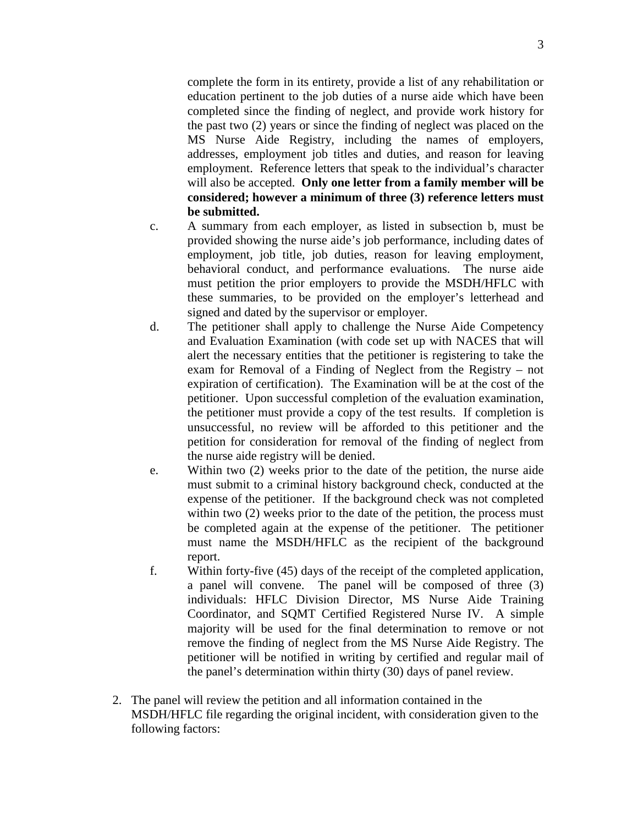complete the form in its entirety, provide a list of any rehabilitation or education pertinent to the job duties of a nurse aide which have been completed since the finding of neglect, and provide work history for the past two (2) years or since the finding of neglect was placed on the MS Nurse Aide Registry, including the names of employers, addresses, employment job titles and duties, and reason for leaving employment. Reference letters that speak to the individual's character will also be accepted. **Only one letter from a family member will be considered; however a minimum of three (3) reference letters must be submitted.** 

- c. A summary from each employer, as listed in subsection b, must be provided showing the nurse aide's job performance, including dates of employment, job title, job duties, reason for leaving employment, behavioral conduct, and performance evaluations. The nurse aide must petition the prior employers to provide the MSDH/HFLC with these summaries, to be provided on the employer's letterhead and signed and dated by the supervisor or employer.
- d. The petitioner shall apply to challenge the Nurse Aide Competency and Evaluation Examination (with code set up with NACES that will alert the necessary entities that the petitioner is registering to take the exam for Removal of a Finding of Neglect from the Registry – not expiration of certification). The Examination will be at the cost of the petitioner. Upon successful completion of the evaluation examination, the petitioner must provide a copy of the test results. If completion is unsuccessful, no review will be afforded to this petitioner and the petition for consideration for removal of the finding of neglect from the nurse aide registry will be denied.
- e. Within two (2) weeks prior to the date of the petition, the nurse aide must submit to a criminal history background check, conducted at the expense of the petitioner. If the background check was not completed within two (2) weeks prior to the date of the petition, the process must be completed again at the expense of the petitioner. The petitioner must name the MSDH/HFLC as the recipient of the background report.
- f. Within forty-five (45) days of the receipt of the completed application, a panel will convene. The panel will be composed of three (3) individuals: HFLC Division Director, MS Nurse Aide Training Coordinator, and SQMT Certified Registered Nurse IV. A simple majority will be used for the final determination to remove or not remove the finding of neglect from the MS Nurse Aide Registry. The petitioner will be notified in writing by certified and regular mail of the panel's determination within thirty (30) days of panel review.
- 2. The panel will review the petition and all information contained in the MSDH/HFLC file regarding the original incident, with consideration given to the following factors: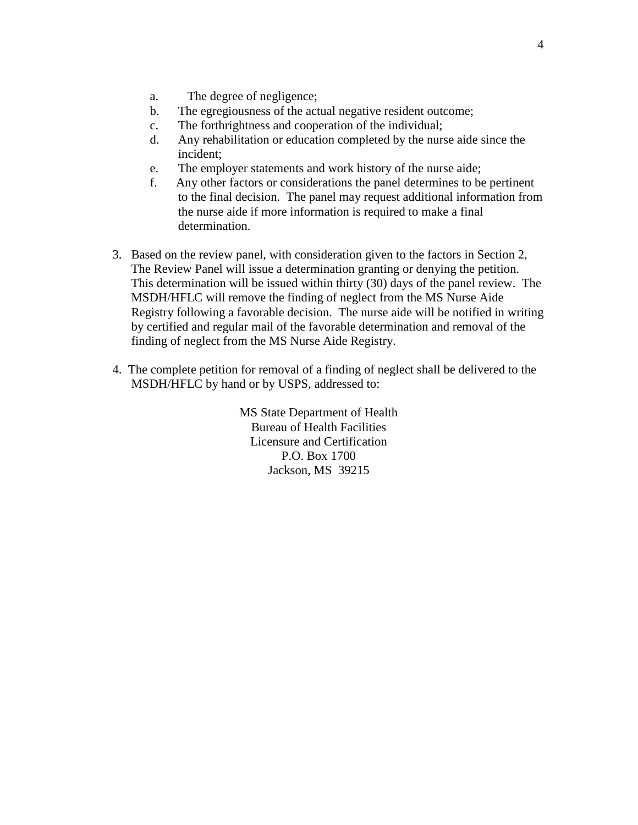- a. The degree of negligence;
- b. The egregiousness of the actual negative resident outcome;
- c. The forthrightness and cooperation of the individual;
- d. Any rehabilitation or education completed by the nurse aide since the incident;
- e. The employer statements and work history of the nurse aide;
- f. Any other factors or considerations the panel determines to be pertinent to the final decision. The panel may request additional information from the nurse aide if more information is required to make a final determination.
- 3. Based on the review panel, with consideration given to the factors in Section 2, The Review Panel will issue a determination granting or denying the petition. This determination will be issued within thirty (30) days of the panel review. The MSDH/HFLC will remove the finding of neglect from the MS Nurse Aide Registry following a favorable decision. The nurse aide will be notified in writing by certified and regular mail of the favorable determination and removal of the finding of neglect from the MS Nurse Aide Registry.
- 4. The complete petition for removal of a finding of neglect shall be delivered to the MSDH/HFLC by hand or by USPS, addressed to:

MS State Department of Health Bureau of Health Facilities Licensure and Certification P.O. Box 1700 Jackson, MS 39215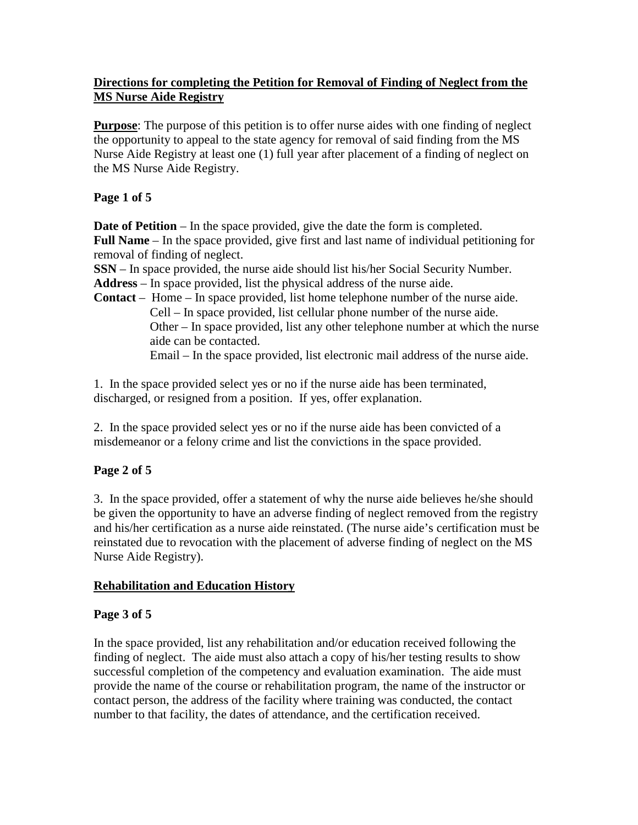#### **Directions for completing the Petition for Removal of Finding of Neglect from the MS Nurse Aide Registry**

**Purpose**: The purpose of this petition is to offer nurse aides with one finding of neglect the opportunity to appeal to the state agency for removal of said finding from the MS Nurse Aide Registry at least one (1) full year after placement of a finding of neglect on the MS Nurse Aide Registry.

## **Page 1 of 5**

**Date of Petition** – In the space provided, give the date the form is completed. **Full Name** – In the space provided, give first and last name of individual petitioning for removal of finding of neglect.

**SSN** – In space provided, the nurse aide should list his/her Social Security Number.

**Address** – In space provided, list the physical address of the nurse aide.

**Contact** – Home – In space provided, list home telephone number of the nurse aide. Cell – In space provided, list cellular phone number of the nurse aide. Other – In space provided, list any other telephone number at which the nurse aide can be contacted. Email – In the space provided, list electronic mail address of the nurse aide.

1. In the space provided select yes or no if the nurse aide has been terminated, discharged, or resigned from a position. If yes, offer explanation.

2. In the space provided select yes or no if the nurse aide has been convicted of a misdemeanor or a felony crime and list the convictions in the space provided.

## **Page 2 of 5**

3. In the space provided, offer a statement of why the nurse aide believes he/she should be given the opportunity to have an adverse finding of neglect removed from the registry and his/her certification as a nurse aide reinstated. (The nurse aide's certification must be reinstated due to revocation with the placement of adverse finding of neglect on the MS Nurse Aide Registry).

### **Rehabilitation and Education History**

### **Page 3 of 5**

In the space provided, list any rehabilitation and/or education received following the finding of neglect. The aide must also attach a copy of his/her testing results to show successful completion of the competency and evaluation examination. The aide must provide the name of the course or rehabilitation program, the name of the instructor or contact person, the address of the facility where training was conducted, the contact number to that facility, the dates of attendance, and the certification received.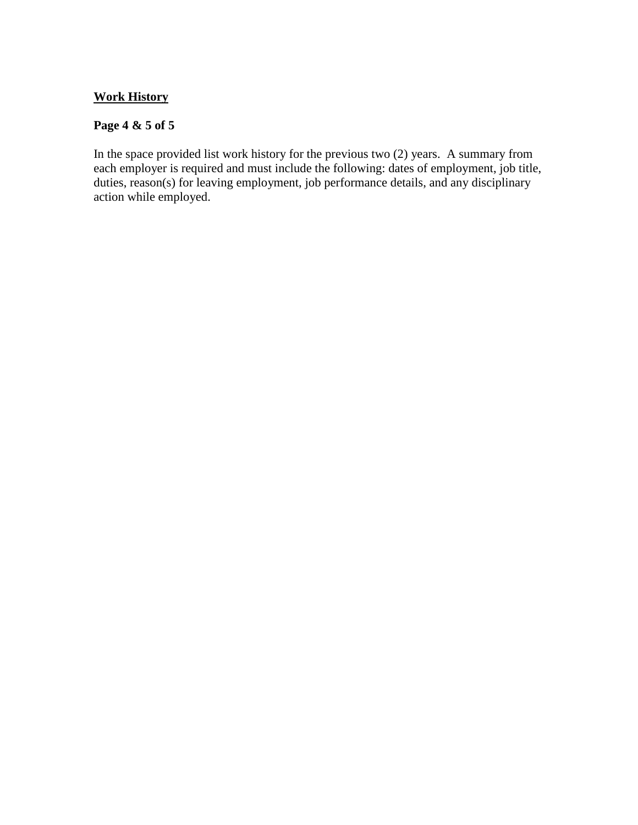#### **Work History**

#### **Page 4 & 5 of 5**

In the space provided list work history for the previous two (2) years. A summary from each employer is required and must include the following: dates of employment, job title, duties, reason(s) for leaving employment, job performance details, and any disciplinary action while employed.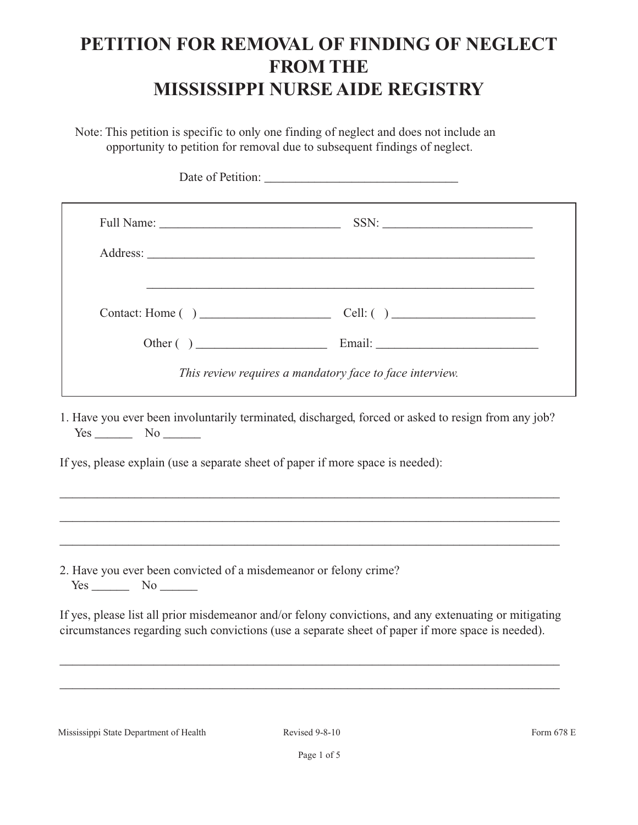# **PETITION FOR REMOVAL OF FINDING OF NEGLECT FROM THE MISSISSIPPI NURSE AIDE REGISTRY**

Note: This petition is specific to only one finding of neglect and does not include an opportunity to petition for removal due to subsequent findings of neglect.

|                                                                                           | and the control of the control of the control of the control of the control of the control of the control of the                                                                                            |
|-------------------------------------------------------------------------------------------|-------------------------------------------------------------------------------------------------------------------------------------------------------------------------------------------------------------|
|                                                                                           |                                                                                                                                                                                                             |
|                                                                                           | This review requires a mandatory face to face interview.                                                                                                                                                    |
|                                                                                           | If yes, please explain (use a separate sheet of paper if more space is needed):<br>,我们也不能在这里的人,我们也不能在这里的人,我们也不能在这里的人,我们也不能在这里的人,我们也不能在这里的人,我们也不能在这里的人,我们也不能在这里的人,我们也                                        |
| 2. Have you ever been convicted of a misdemeanor or felony crime?<br>$Yes$ No $\_\_\_\_\$ |                                                                                                                                                                                                             |
|                                                                                           | If yes, please list all prior misdemeanor and/or felony convictions, and any extenuating or mitigating<br>circumstances regarding such convictions (use a separate sheet of paper if more space is needed). |
|                                                                                           |                                                                                                                                                                                                             |
|                                                                                           |                                                                                                                                                                                                             |

Mississippi State Department of Health Revised 9-8-10 Form 678 E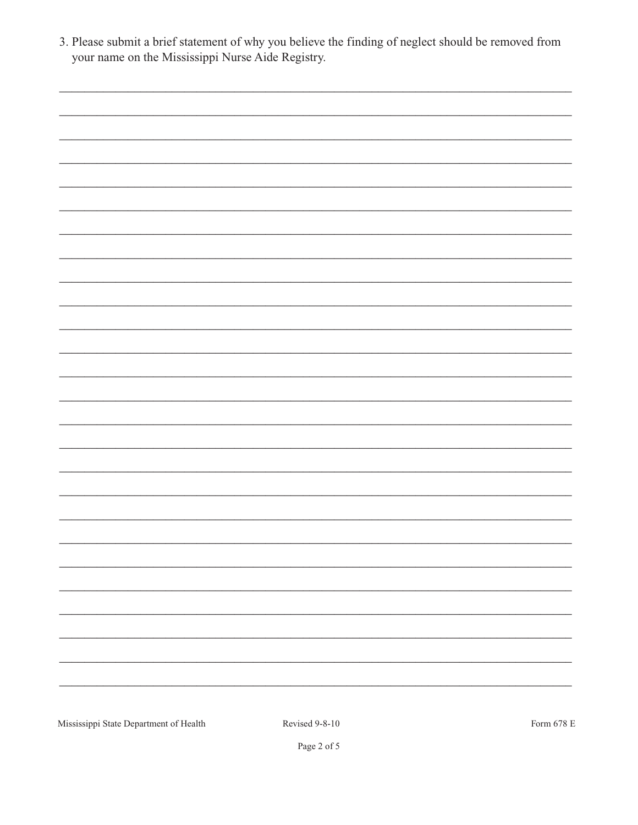Page 2 of 5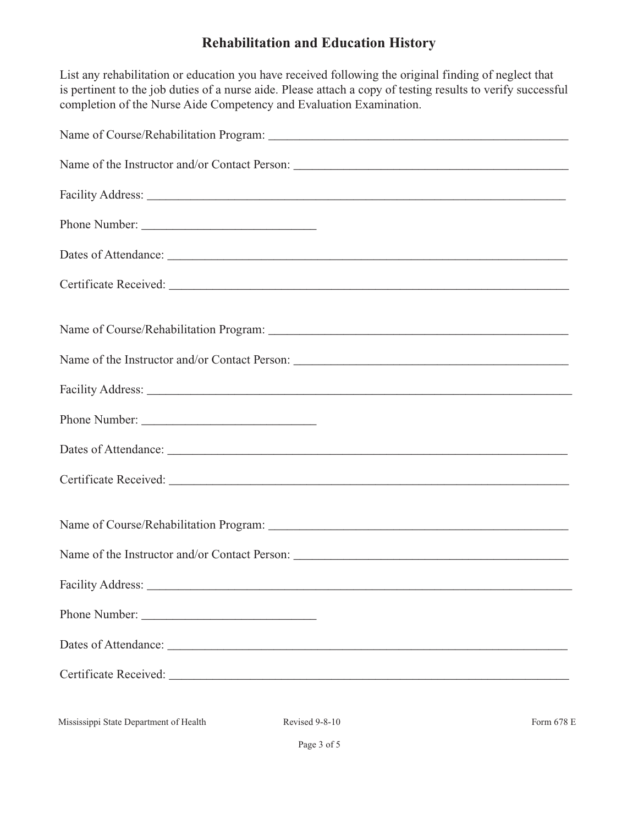# **Rehabilitation and Education History**

List any rehabilitation or education you have received following the original finding of neglect that is pertinent to the job duties of a nurse aide. Please attach a copy of testing results to verify successful completion of the Nurse Aide Competency and Evaluation Examination.

| Phone Number:                                                                                                                                                                                                                  |
|--------------------------------------------------------------------------------------------------------------------------------------------------------------------------------------------------------------------------------|
| Dates of Attendance: New York Changes and School Changes and School Changes and School Changes and School Changes and School Changes and School Changes and School Changes and School Changes and School Changes and School Ch |
|                                                                                                                                                                                                                                |
|                                                                                                                                                                                                                                |
| Name of the Instructor and/or Contact Person: ___________________________________                                                                                                                                              |
|                                                                                                                                                                                                                                |
|                                                                                                                                                                                                                                |
|                                                                                                                                                                                                                                |
|                                                                                                                                                                                                                                |
|                                                                                                                                                                                                                                |
|                                                                                                                                                                                                                                |
|                                                                                                                                                                                                                                |
|                                                                                                                                                                                                                                |
|                                                                                                                                                                                                                                |
|                                                                                                                                                                                                                                |
|                                                                                                                                                                                                                                |

Mississippi State Department of Health Revised 9-8-10 Form 678 E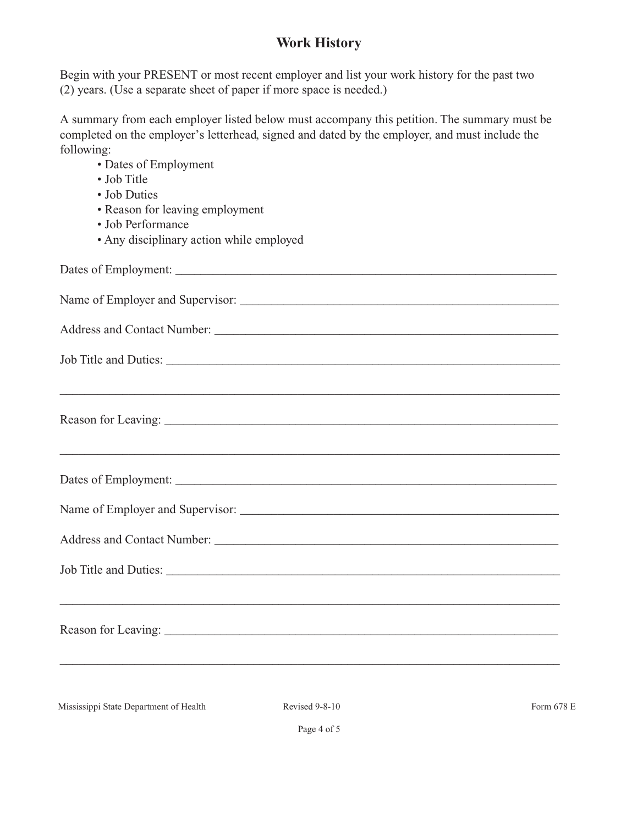## **Work History**

Begin with your PRESENT or most recent employer and list your work history for the past two (2) years. (Use a separate sheet of paper if more space is needed.)

A summary from each employer listed below must accompany this petition. The summary must be completed on the employer's letterhead, signed and dated by the employer, and must include the following:

• Dates of Employment • Job Title • Job Duties • Reason for leaving employment • Job Performance • Any disciplinary action while employed Dates of Employment: Name of Employer and Supervisor: \_\_\_\_\_\_\_\_\_\_\_\_\_\_\_\_\_\_\_\_\_\_\_\_\_\_\_\_\_\_\_\_\_\_\_\_\_\_\_\_\_\_\_\_\_\_\_\_\_\_\_ Address and Contact Number: \_\_\_\_\_\_\_\_\_\_\_\_\_\_\_\_\_\_\_\_\_\_\_\_\_\_\_\_\_\_\_\_\_\_\_\_\_\_\_\_\_\_\_\_\_\_\_\_\_\_\_\_\_\_\_ Job Title and Duties: \_\_\_\_\_\_\_\_\_\_\_\_\_\_\_\_\_\_\_\_\_\_\_\_\_\_\_\_\_\_\_\_\_\_\_\_\_\_\_\_\_\_\_\_\_\_\_\_\_\_\_\_\_\_\_\_\_\_\_\_\_\_\_ \_\_\_\_\_\_\_\_\_\_\_\_\_\_\_\_\_\_\_\_\_\_\_\_\_\_\_\_\_\_\_\_\_\_\_\_\_\_\_\_\_\_\_\_\_\_\_\_\_\_\_\_\_\_\_\_\_\_\_\_\_\_\_\_\_\_\_\_\_\_\_\_\_\_\_\_\_\_\_\_ Reason for Leaving: \_\_\_\_\_\_\_\_\_\_\_\_\_\_\_\_\_\_\_\_\_\_\_\_\_\_\_\_\_\_\_\_\_\_\_\_\_\_\_\_\_\_\_\_\_\_\_\_\_\_\_\_\_\_\_\_\_\_\_\_\_\_\_ \_\_\_\_\_\_\_\_\_\_\_\_\_\_\_\_\_\_\_\_\_\_\_\_\_\_\_\_\_\_\_\_\_\_\_\_\_\_\_\_\_\_\_\_\_\_\_\_\_\_\_\_\_\_\_\_\_\_\_\_\_\_\_\_\_\_\_\_\_\_\_\_\_\_\_\_\_\_\_\_ Dates of Employment: \_\_\_\_\_\_\_\_\_\_\_\_\_\_\_\_\_\_\_\_\_\_\_\_\_\_\_\_\_\_\_\_\_\_\_\_\_\_\_\_\_\_\_\_\_\_\_\_\_\_\_\_\_\_\_\_\_\_\_\_\_ Name of Employer and Supervisor: \_\_\_\_\_\_\_\_\_\_\_\_\_\_\_\_\_\_\_\_\_\_\_\_\_\_\_\_\_\_\_\_\_\_\_\_\_\_\_\_\_\_\_\_\_\_\_\_\_\_\_ Address and Contact Number: Job Title and Duties: \_\_\_\_\_\_\_\_\_\_\_\_\_\_\_\_\_\_\_\_\_\_\_\_\_\_\_\_\_\_\_\_\_\_\_\_\_\_\_\_\_\_\_\_\_\_\_\_\_\_\_\_\_\_\_\_\_\_\_\_\_\_\_\_\_\_\_\_\_\_\_\_\_\_\_\_\_\_\_\_ Reason for Leaving: \_\_\_\_\_\_\_\_\_\_\_\_\_\_\_\_\_\_\_\_\_\_\_\_\_\_\_\_\_\_\_\_\_\_\_\_\_\_\_\_\_\_\_\_\_\_\_\_\_\_\_\_\_\_\_\_\_\_\_\_\_\_\_ \_\_\_\_\_\_\_\_\_\_\_\_\_\_\_\_\_\_\_\_\_\_\_\_\_\_\_\_\_\_\_\_\_\_\_\_\_\_\_\_\_\_\_\_\_\_\_\_\_\_\_\_\_\_\_\_\_\_\_\_\_\_\_\_\_\_\_\_\_\_\_\_\_\_\_\_\_\_\_\_

Mississippi State Department of Health Revised 9-8-10 Revised 9-8-10 Form 678 E